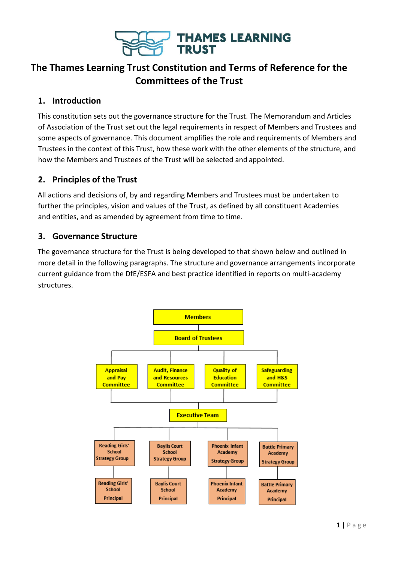

# **The Thames Learning Trust Constitution and Terms of Reference for the Committees of the Trust**

# **1. Introduction**

This constitution sets out the governance structure for the Trust. The Memorandum and Articles of Association of the Trust set out the legal requirements in respect of Members and Trustees and some aspects of governance. This document amplifies the role and requirements of Members and Trustees in the context of this Trust, how these work with the other elements of the structure, and how the Members and Trustees of the Trust will be selected and appointed.

# **2. Principles of the Trust**

All actions and decisions of, by and regarding Members and Trustees must be undertaken to further the principles, vision and values of the Trust, as defined by all constituent Academies and entities, and as amended by agreement from time to time.

# **3. Governance Structure**

The governance structure for the Trust is being developed to that shown below and outlined in more detail in the following paragraphs. The structure and governance arrangements incorporate current guidance from the DfE/ESFA and best practice identified in reports on multi-academy structures.

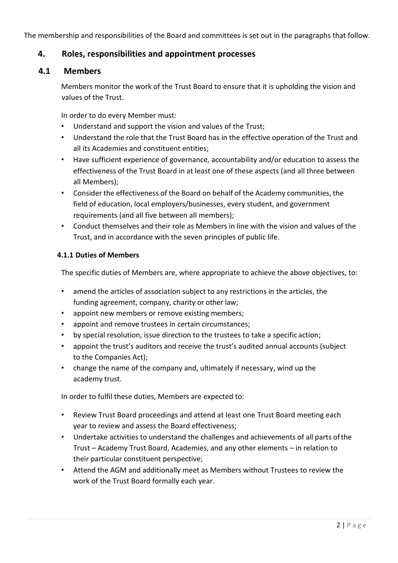The membership and responsibilities of the Board and committees is set out in the paragraphs that follow.

# **4. Roles, responsibilities and appointment processes**

# **4.1 Members**

Members monitor the work of the Trust Board to ensure that it is upholding the vision and values of the Trust.

In order to do every Member must:

- Understand and support the vision and values of the Trust;
- Understand the role that the Trust Board has in the effective operation of the Trust and all its Academies and constituent entities;
- Have sufficient experience of governance, accountability and/or education to assess the effectiveness of the Trust Board in at least one of these aspects (and all three between all Members);
- Consider the effectiveness of the Board on behalf of the Academy communities, the field of education, local employers/businesses, every student, and government requirements (and all five between all members);
- Conduct themselves and their role as Members in line with the vision and values of the Trust, and in accordance with the seven principles of public life.

### **4.1.1 Duties of Members**

The specific duties of Members are, where appropriate to achieve the above objectives, to:

- amend the articles of association subject to any restrictions in the articles, the funding agreement, company, charity or other law;
- appoint new members or remove existing members;
- appoint and remove trustees in certain circumstances;
- by special resolution, issue direction to the trustees to take a specific action;
- appoint the trust's auditors and receive the trust's audited annual accounts (subject to the Companies Act);
- change the name of the company and, ultimately if necessary, wind up the academy trust.

In order to fulfil these duties, Members are expected to:

- Review Trust Board proceedings and attend at least one Trust Board meeting each year to review and assess the Board effectiveness;
- Undertake activities to understand the challenges and achievements of all parts ofthe Trust – Academy Trust Board, Academies, and any other elements – in relation to their particular constituent perspective;
- Attend the AGM and additionally meet as Members without Trustees to review the work of the Trust Board formally each year.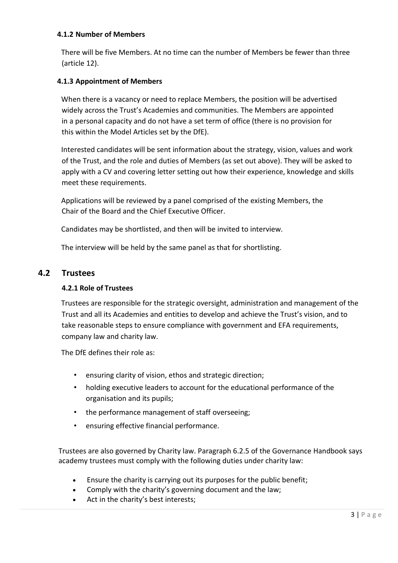### **4.1.2 Number of Members**

There will be five Members. At no time can the number of Members be fewer than three (article 12).

### **4.1.3 Appointment of Members**

When there is a vacancy or need to replace Members, the position will be advertised widely across the Trust's Academies and communities. The Members are appointed in a personal capacity and do not have a set term of office (there is no provision for this within the Model Articles set by the DfE).

Interested candidates will be sent information about the strategy, vision, values and work of the Trust, and the role and duties of Members (as set out above). They will be asked to apply with a CV and covering letter setting out how their experience, knowledge and skills meet these requirements.

Applications will be reviewed by a panel comprised of the existing Members, the Chair of the Board and the Chief Executive Officer.

Candidates may be shortlisted, and then will be invited to interview.

The interview will be held by the same panel as that for shortlisting.

### **4.2 Trustees**

#### **4.2.1 Role of Trustees**

Trustees are responsible for the strategic oversight, administration and management of the Trust and all its Academies and entities to develop and achieve the Trust's vision, and to take reasonable steps to ensure compliance with government and EFA requirements, company law and charity law.

The DfE defines their role as:

- ensuring clarity of vision, ethos and strategic direction;
- holding executive leaders to account for the educational performance of the organisation and its pupils;
- the performance management of staff overseeing;
- ensuring effective financial performance.

Trustees are also governed by Charity law. Paragraph 6.2.5 of the Governance Handbook says academy trustees must comply with the following duties under charity law:

- Ensure the charity is carrying out its purposes for the public benefit;
- Comply with the charity's governing document and the law;
- Act in the charity's best interests;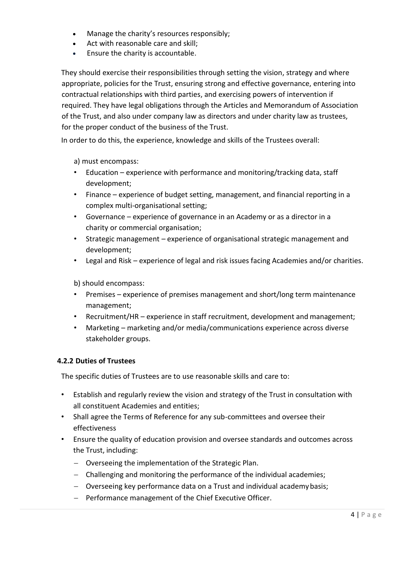- Manage the charity's resources responsibly;
- Act with reasonable care and skill;
- Ensure the charity is accountable.

They should exercise their responsibilities through setting the vision, strategy and where appropriate, policies for the Trust, ensuring strong and effective governance, entering into contractual relationships with third parties, and exercising powers of intervention if required. They have legal obligations through the Articles and Memorandum of Association of the Trust, and also under company law as directors and under charity law as trustees, for the proper conduct of the business of the Trust.

In order to do this, the experience, knowledge and skills of the Trustees overall:

a) must encompass:

- Education experience with performance and monitoring/tracking data, staff development;
- Finance experience of budget setting, management, and financial reporting in a complex multi-organisational setting;
- Governance experience of governance in an Academy or as a director in a charity or commercial organisation;
- Strategic management experience of organisational strategic management and development;
- Legal and Risk experience of legal and risk issues facing Academies and/or charities.

b) should encompass:

- Premises experience of premises management and short/long term maintenance management;
- Recruitment/HR experience in staff recruitment, development and management;
- Marketing marketing and/or media/communications experience across diverse stakeholder groups.

#### **4.2.2 Duties of Trustees**

The specific duties of Trustees are to use reasonable skills and care to:

- Establish and regularly review the vision and strategy of the Trust in consultation with all constituent Academies and entities;
- Shall agree the Terms of Reference for any sub-committees and oversee their effectiveness
- Ensure the quality of education provision and oversee standards and outcomes across the Trust, including:
	- Overseeing the implementation of the Strategic Plan.
	- Challenging and monitoring the performance of the individual academies;
	- Overseeing key performance data on a Trust and individual academybasis;
	- Performance management of the Chief Executive Officer.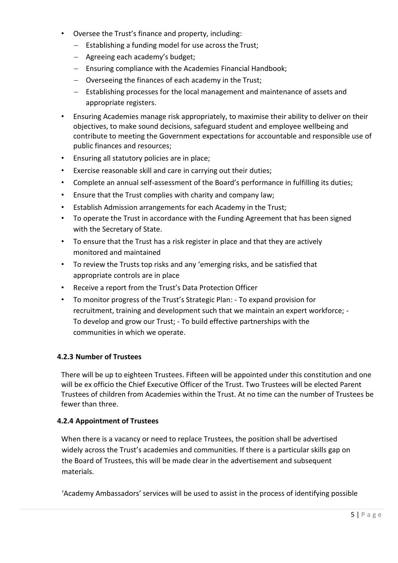- Oversee the Trust's finance and property, including:
	- $-$  Establishing a funding model for use across the Trust;
	- Agreeing each academy's budget;
	- Ensuring compliance with the Academies Financial Handbook;
	- Overseeing the finances of each academy in the Trust;
	- Establishing processes for the local management and maintenance of assets and appropriate registers.
- Ensuring Academies manage risk appropriately, to maximise their ability to deliver on their objectives, to make sound decisions, safeguard student and employee wellbeing and contribute to meeting the Government expectations for accountable and responsible use of public finances and resources;
- Ensuring all statutory policies are in place;
- Exercise reasonable skill and care in carrying out their duties;
- Complete an annual self-assessment of the Board's performance in fulfilling its duties;
- Ensure that the Trust complies with charity and company law;
- Establish Admission arrangements for each Academy in the Trust;
- To operate the Trust in accordance with the Funding Agreement that has been signed with the Secretary of State.
- To ensure that the Trust has a risk register in place and that they are actively monitored and maintained
- To review the Trusts top risks and any 'emerging risks, and be satisfied that appropriate controls are in place
- Receive a report from the Trust's Data Protection Officer
- To monitor progress of the Trust's Strategic Plan: To expand provision for recruitment, training and development such that we maintain an expert workforce; - To develop and grow our Trust; - To build effective partnerships with the communities in which we operate.

### **4.2.3 Number of Trustees**

There will be up to eighteen Trustees. Fifteen will be appointed under this constitution and one will be ex officio the Chief Executive Officer of the Trust. Two Trustees will be elected Parent Trustees of children from Academies within the Trust. At no time can the number of Trustees be fewer than three.

### **4.2.4 Appointment of Trustees**

When there is a vacancy or need to replace Trustees, the position shall be advertised widely across the Trust's academies and communities. If there is a particular skills gap on the Board of Trustees, this will be made clear in the advertisement and subsequent materials.

'Academy Ambassadors' services will be used to assist in the process of identifying possible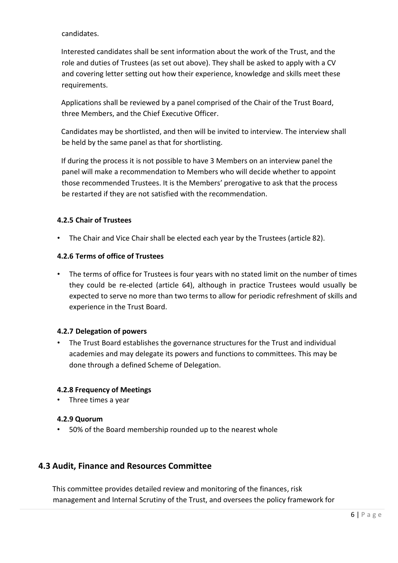### candidates.

Interested candidates shall be sent information about the work of the Trust, and the role and duties of Trustees (as set out above). They shall be asked to apply with a CV and covering letter setting out how their experience, knowledge and skills meet these requirements.

Applications shall be reviewed by a panel comprised of the Chair of the Trust Board, three Members, and the Chief Executive Officer.

Candidates may be shortlisted, and then will be invited to interview. The interview shall be held by the same panel as that for shortlisting.

If during the process it is not possible to have 3 Members on an interview panel the panel will make a recommendation to Members who will decide whether to appoint those recommended Trustees. It is the Members' prerogative to ask that the process be restarted if they are not satisfied with the recommendation.

### **4.2.5 Chair of Trustees**

• The Chair and Vice Chair shall be elected each year by the Trustees (article 82).

### **4.2.6 Terms of office of Trustees**

• The terms of office for Trustees is four years with no stated limit on the number of times they could be re-elected (article 64), although in practice Trustees would usually be expected to serve no more than two terms to allow for periodic refreshment of skills and experience in the Trust Board.

#### **4.2.7 Delegation of powers**

• The Trust Board establishes the governance structures for the Trust and individual academies and may delegate its powers and functions to committees. This may be done through a defined Scheme of Delegation.

#### **4.2.8 Frequency of Meetings**

• Three times a year

#### **4.2.9 Quorum**

• 50% of the Board membership rounded up to the nearest whole

# **4.3 Audit, Finance and Resources Committee**

This committee provides detailed review and monitoring of the finances, risk management and Internal Scrutiny of the Trust, and oversees the policy framework for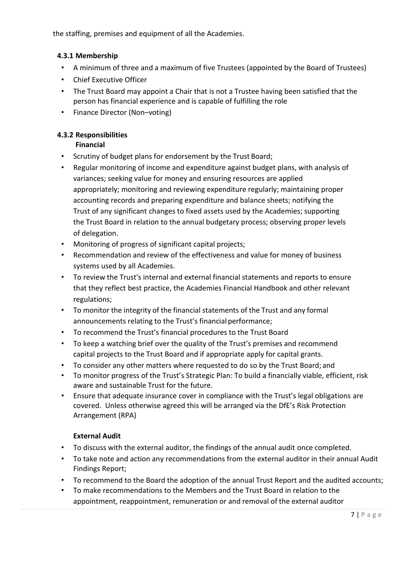the staffing, premises and equipment of all the Academies.

# **4.3.1 Membership**

- A minimum of three and a maximum of five Trustees (appointed by the Board of Trustees)
- Chief Executive Officer
- The Trust Board may appoint a Chair that is not a Trustee having been satisfied that the person has financial experience and is capable of fulfilling the role
- Finance Director (Non–voting)

# **4.3.2 Responsibilities**

### **Financial**

- Scrutiny of budget plans for endorsement by the Trust Board;
- Regular monitoring of income and expenditure against budget plans, with analysis of variances; seeking value for money and ensuring resources are applied appropriately; monitoring and reviewing expenditure regularly; maintaining proper accounting records and preparing expenditure and balance sheets; notifying the Trust of any significant changes to fixed assets used by the Academies; supporting the Trust Board in relation to the annual budgetary process; observing proper levels of delegation.
- Monitoring of progress of significant capital projects;
- Recommendation and review of the effectiveness and value for money of business systems used by all Academies.
- To review the Trust's internal and external financial statements and reports to ensure that they reflect best practice, the Academies Financial Handbook and other relevant regulations;
- To monitor the integrity of the financial statements of the Trust and any formal announcements relating to the Trust's financial performance;
- To recommend the Trust's financial procedures to the Trust Board
- To keep a watching brief over the quality of the Trust's premises and recommend capital projects to the Trust Board and if appropriate apply for capital grants.
- To consider any other matters where requested to do so by the Trust Board; and
- To monitor progress of the Trust's Strategic Plan: To build a financially viable, efficient, risk aware and sustainable Trust for the future.
- Ensure that adequate insurance cover in compliance with the Trust's legal obligations are covered. Unless otherwise agreed this will be arranged via the DfE's Risk Protection Arrangement (RPA)

# **External Audit**

- To discuss with the external auditor, the findings of the annual audit once completed.
- To take note and action any recommendations from the external auditor in their annual Audit Findings Report;
- To recommend to the Board the adoption of the annual Trust Report and the audited accounts;
- To make recommendations to the Members and the Trust Board in relation to the appointment, reappointment, remuneration or and removal of the external auditor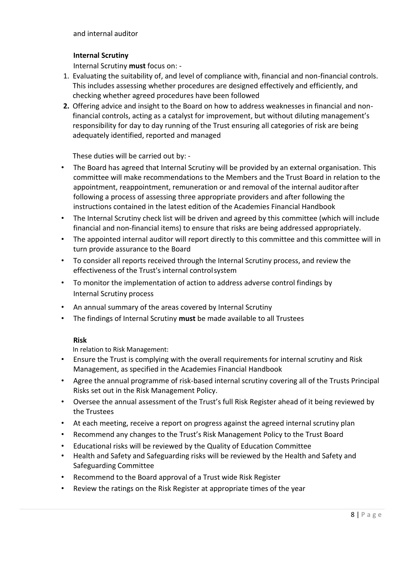and internal auditor

### **Internal Scrutiny**

Internal Scrutiny **must** focus on: -

- 1. Evaluating the suitability of, and level of compliance with, financial and non-financial controls. This includes assessing whether procedures are designed effectively and efficiently, and checking whether agreed procedures have been followed
- **2.** Offering advice and insight to the Board on how to address weaknesses in financial and nonfinancial controls, acting as a catalyst for improvement, but without diluting management's responsibility for day to day running of the Trust ensuring all categories of risk are being adequately identified, reported and managed

These duties will be carried out by: -

- The Board has agreed that Internal Scrutiny will be provided by an external organisation. This committee will make recommendations to the Members and the Trust Board in relation to the appointment, reappointment, remuneration or and removal of the internal auditorafter following a process of assessing three appropriate providers and after following the instructions contained in the latest edition of the Academies Financial Handbook
- The Internal Scrutiny check list will be driven and agreed by this committee (which will include financial and non-financial items) to ensure that risks are being addressed appropriately.
- The appointed internal auditor will report directly to this committee and this committee will in turn provide assurance to the Board
- To consider all reports received through the Internal Scrutiny process, and review the effectiveness of the Trust's internal controlsystem
- To monitor the implementation of action to address adverse control findings by Internal Scrutiny process
- An annual summary of the areas covered by Internal Scrutiny
- The findings of Internal Scrutiny **must** be made available to all Trustees

#### **Risk**

In relation to Risk Management:

- Ensure the Trust is complying with the overall requirements for internal scrutiny and Risk Management, as specified in the Academies Financial Handbook
- Agree the annual programme of risk-based internal scrutiny covering all of the Trusts Principal Risks set out in the Risk Management Policy.
- Oversee the annual assessment of the Trust's full Risk Register ahead of it being reviewed by the Trustees
- At each meeting, receive a report on progress against the agreed internal scrutiny plan
- Recommend any changes to the Trust's Risk Management Policy to the Trust Board
- Educational risks will be reviewed by the Quality of Education Committee
- Health and Safety and Safeguarding risks will be reviewed by the Health and Safety and Safeguarding Committee
- Recommend to the Board approval of a Trust wide Risk Register
- Review the ratings on the Risk Register at appropriate times of the year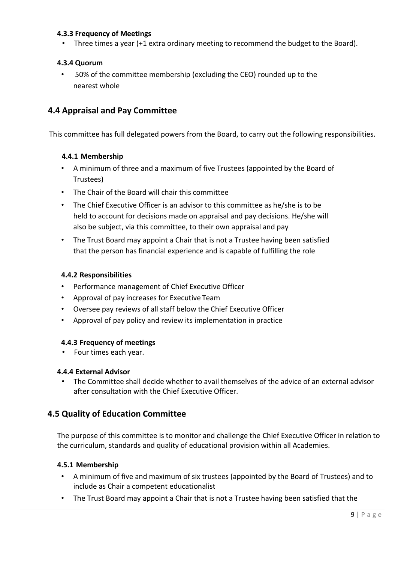### **4.3.3 Frequency of Meetings**

• Three times a year (+1 extra ordinary meeting to recommend the budget to the Board).

### **4.3.4 Quorum**

• 50% of the committee membership (excluding the CEO) rounded up to the nearest whole

# **4.4 Appraisal and Pay Committee**

This committee has full delegated powers from the Board, to carry out the following responsibilities.

#### **4.4.1 Membership**

- A minimum of three and a maximum of five Trustees (appointed by the Board of Trustees)
- The Chair of the Board will chair this committee
- The Chief Executive Officer is an advisor to this committee as he/she is to be held to account for decisions made on appraisal and pay decisions. He/she will also be subject, via this committee, to their own appraisal and pay
- The Trust Board may appoint a Chair that is not a Trustee having been satisfied that the person has financial experience and is capable of fulfilling the role

#### **4.4.2 Responsibilities**

- Performance management of Chief Executive Officer
- Approval of pay increases for Executive Team
- Oversee pay reviews of all staff below the Chief Executive Officer
- Approval of pay policy and review its implementation in practice

#### **4.4.3 Frequency of meetings**

• Four times each year.

#### **4.4.4 External Advisor**

• The Committee shall decide whether to avail themselves of the advice of an external advisor after consultation with the Chief Executive Officer.

# **4.5 Quality of Education Committee**

The purpose of this committee is to monitor and challenge the Chief Executive Officer in relation to the curriculum, standards and quality of educational provision within all Academies.

#### **4.5.1 Membership**

- A minimum of five and maximum of six trustees (appointed by the Board of Trustees) and to include as Chair a competent educationalist
- The Trust Board may appoint a Chair that is not a Trustee having been satisfied that the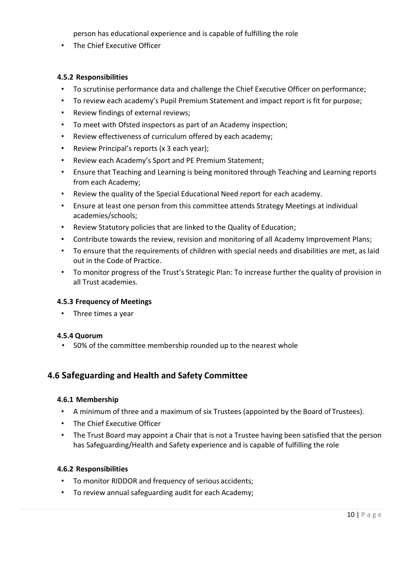person has educational experience and is capable of fulfilling the role

• The Chief Executive Officer

#### **4.5.2 Responsibilities**

- To scrutinise performance data and challenge the Chief Executive Officer on performance;
- To review each academy's Pupil Premium Statement and impact report is fit for purpose;
- Review findings of external reviews;
- To meet with Ofsted inspectors as part of an Academy inspection;
- Review effectiveness of curriculum offered by each academy;
- Review Principal's reports (x 3 each year);
- Review each Academy's Sport and PE Premium Statement;
- Ensure that Teaching and Learning is being monitored through Teaching and Learning reports from each Academy;
- Review the quality of the Special Educational Need report for each academy.
- Ensure at least one person from this committee attends Strategy Meetings at individual academies/schools;
- Review Statutory policies that are linked to the Quality of Education;
- Contribute towards the review, revision and monitoring of all Academy Improvement Plans;
- To ensure that the requirements of children with special needs and disabilities are met, as laid out in the Code of Practice.
- To monitor progress of the Trust's Strategic Plan: To increase further the quality of provision in all Trust academies.

#### **4.5.3 Frequency of Meetings**

• Three times a year

#### **4.5.4 Quorum**

• 50% of the committee membership rounded up to the nearest whole

# **4.6 Safeguarding and Health and Safety Committee**

#### **4.6.1 Membership**

- A minimum of three and a maximum of six Trustees (appointed by the Board of Trustees).
- The Chief Executive Officer
- The Trust Board may appoint a Chair that is not a Trustee having been satisfied that the person has Safeguarding/Health and Safety experience and is capable of fulfilling the role

#### **4.6.2 Responsibilities**

- To monitor RIDDOR and frequency of serious accidents;
- To review annual safeguarding audit for each Academy;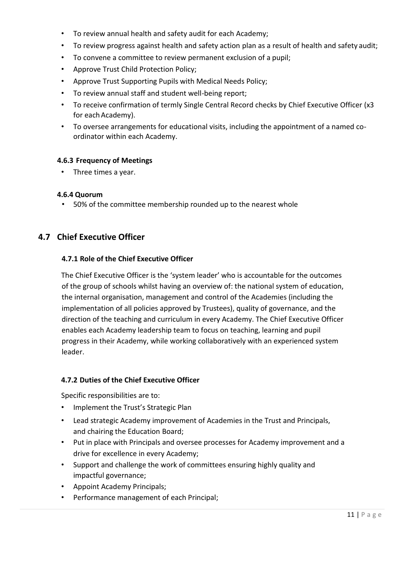- To review annual health and safety audit for each Academy;
- To review progress against health and safety action plan as a result of health and safety audit;
- To convene a committee to review permanent exclusion of a pupil;
- Approve Trust Child Protection Policy;
- Approve Trust Supporting Pupils with Medical Needs Policy;
- To review annual staff and student well-being report;
- To receive confirmation of termly Single Central Record checks by Chief Executive Officer (x3 for each Academy).
- To oversee arrangements for educational visits, including the appointment of a named coordinator within each Academy.

#### **4.6.3 Frequency of Meetings**

• Three times a year.

### **4.6.4 Quorum**

• 50% of the committee membership rounded up to the nearest whole

# **4.7 Chief Executive Officer**

### **4.7.1 Role of the Chief Executive Officer**

The Chief Executive Officer is the 'system leader' who is accountable for the outcomes of the group of schools whilst having an overview of: the national system of education, the internal organisation, management and control of the Academies (including the implementation of all policies approved by Trustees), quality of governance, and the direction of the teaching and curriculum in every Academy. The Chief Executive Officer enables each Academy leadership team to focus on teaching, learning and pupil progress in their Academy, while working collaboratively with an experienced system leader.

### **4.7.2 Duties of the Chief Executive Officer**

Specific responsibilities are to:

- Implement the Trust's Strategic Plan
- Lead strategic Academy improvement of Academies in the Trust and Principals, and chairing the Education Board;
- Put in place with Principals and oversee processes for Academy improvement and a drive for excellence in every Academy;
- Support and challenge the work of committees ensuring highly quality and impactful governance;
- Appoint Academy Principals;
- Performance management of each Principal;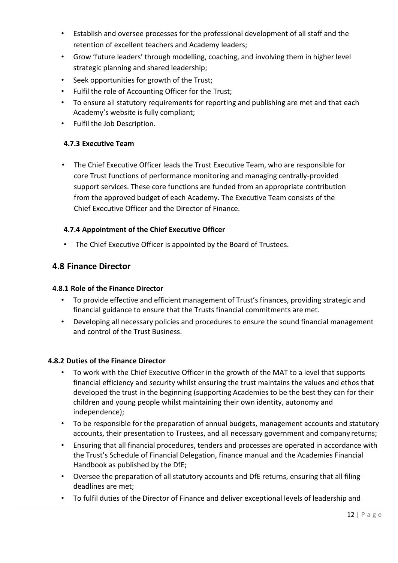- Establish and oversee processes for the professional development of all staff and the retention of excellent teachers and Academy leaders;
- Grow 'future leaders' through modelling, coaching, and involving them in higher level strategic planning and shared leadership;
- Seek opportunities for growth of the Trust;
- Fulfil the role of Accounting Officer for the Trust;
- To ensure all statutory requirements for reporting and publishing are met and that each Academy's website is fully compliant;
- Fulfil the Job Description.

# **4.7.3 Executive Team**

• The Chief Executive Officer leads the Trust Executive Team, who are responsible for core Trust functions of performance monitoring and managing centrally-provided support services. These core functions are funded from an appropriate contribution from the approved budget of each Academy. The Executive Team consists of the Chief Executive Officer and the Director of Finance.

# **4.7.4 Appointment of the Chief Executive Officer**

• The Chief Executive Officer is appointed by the Board of Trustees.

# **4.8 Finance Director**

### **4.8.1 Role of the Finance Director**

- To provide effective and efficient management of Trust's finances, providing strategic and financial guidance to ensure that the Trusts financial commitments are met.
- Developing all necessary policies and procedures to ensure the sound financial management and control of the Trust Business.

### **4.8.2 Duties of the Finance Director**

- To work with the Chief Executive Officer in the growth of the MAT to a level that supports financial efficiency and security whilst ensuring the trust maintains the values and ethos that developed the trust in the beginning (supporting Academies to be the best they can for their children and young people whilst maintaining their own identity, autonomy and independence);
- To be responsible for the preparation of annual budgets, management accounts and statutory accounts, their presentation to Trustees, and all necessary government and company returns;
- Ensuring that all financial procedures, tenders and processes are operated in accordance with the Trust's Schedule of Financial Delegation, finance manual and the Academies Financial Handbook as published by the DfE;
- Oversee the preparation of all statutory accounts and DfE returns, ensuring that all filing deadlines are met;
- To fulfil duties of the Director of Finance and deliver exceptional levels of leadership and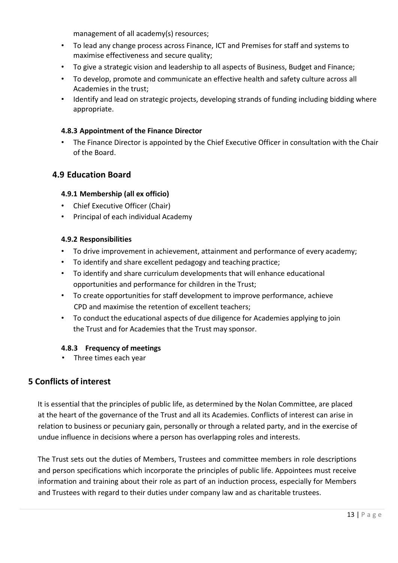management of all academy(s) resources;

- To lead any change process across Finance, ICT and Premises for staff and systems to maximise effectiveness and secure quality;
- To give a strategic vision and leadership to all aspects of Business, Budget and Finance;
- To develop, promote and communicate an effective health and safety culture across all Academies in the trust;
- Identify and lead on strategic projects, developing strands of funding including bidding where appropriate.

### **4.8.3 Appointment of the Finance Director**

• The Finance Director is appointed by the Chief Executive Officer in consultation with the Chair of the Board.

# **4.9 Education Board**

### **4.9.1 Membership (all ex officio)**

- Chief Executive Officer (Chair)
- Principal of each individual Academy

#### **4.9.2 Responsibilities**

- To drive improvement in achievement, attainment and performance of every academy;
- To identify and share excellent pedagogy and teaching practice;
- To identify and share curriculum developments that will enhance educational opportunities and performance for children in the Trust;
- To create opportunities for staff development to improve performance, achieve CPD and maximise the retention of excellent teachers;
- To conduct the educational aspects of due diligence for Academies applying to join the Trust and for Academies that the Trust may sponsor.

#### **4.8.3 Frequency of meetings**

• Three times each year

# **5 Conflicts of interest**

It is essential that the principles of public life, as determined by the Nolan Committee, are placed at the heart of the governance of the Trust and all its Academies. Conflicts of interest can arise in relation to business or pecuniary gain, personally or through a related party, and in the exercise of undue influence in decisions where a person has overlapping roles and interests.

The Trust sets out the duties of Members, Trustees and committee members in role descriptions and person specifications which incorporate the principles of public life. Appointees must receive information and training about their role as part of an induction process, especially for Members and Trustees with regard to their duties under company law and as charitable trustees.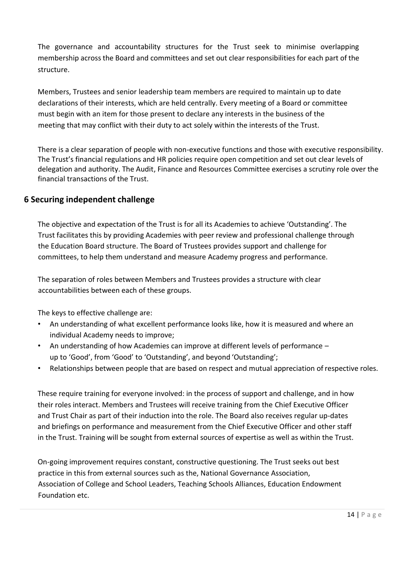The governance and accountability structures for the Trust seek to minimise overlapping membership across the Board and committees and set out clear responsibilities for each part of the structure.

Members, Trustees and senior leadership team members are required to maintain up to date declarations of their interests, which are held centrally. Every meeting of a Board or committee must begin with an item for those present to declare any interests in the business of the meeting that may conflict with their duty to act solely within the interests of the Trust.

There is a clear separation of people with non-executive functions and those with executive responsibility. The Trust's financial regulations and HR policies require open competition and set out clear levels of delegation and authority. The Audit, Finance and Resources Committee exercises a scrutiny role over the financial transactions of the Trust.

# **6 Securing independent challenge**

The objective and expectation of the Trust is for all its Academies to achieve 'Outstanding'. The Trust facilitates this by providing Academies with peer review and professional challenge through the Education Board structure. The Board of Trustees provides support and challenge for committees, to help them understand and measure Academy progress and performance.

The separation of roles between Members and Trustees provides a structure with clear accountabilities between each of these groups.

The keys to effective challenge are:

- An understanding of what excellent performance looks like, how it is measured and where an individual Academy needs to improve;
- An understanding of how Academies can improve at different levels of performance up to 'Good', from 'Good' to 'Outstanding', and beyond 'Outstanding';
- Relationships between people that are based on respect and mutual appreciation of respective roles.

These require training for everyone involved: in the process of support and challenge, and in how their roles interact. Members and Trustees will receive training from the Chief Executive Officer and Trust Chair as part of their induction into the role. The Board also receives regular up-dates and briefings on performance and measurement from the Chief Executive Officer and other staff in the Trust. Training will be sought from external sources of expertise as well as within the Trust.

On-going improvement requires constant, constructive questioning. The Trust seeks out best practice in this from external sources such as the, National Governance Association, Association of College and School Leaders, Teaching Schools Alliances, Education Endowment Foundation etc.